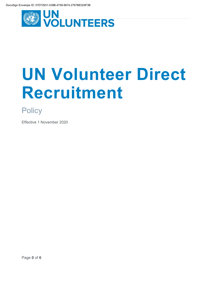

# **UN Volunteer Direct Recruitment**

**Policy** 

Effective 1 November 2020

Page **0** of **6**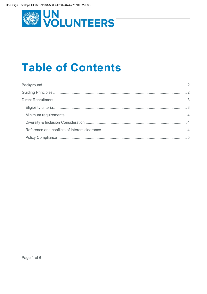

## **Table of Contents**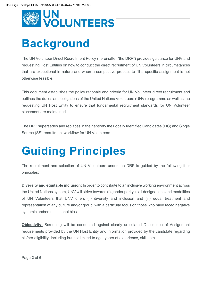

## <span id="page-2-0"></span>**Background**

The UN Volunteer Direct Recruitment Policy (hereinafter "the DRP") provides guidance for UNV and requesting Host Entities on how to conduct the direct recruitment of UN Volunteers in circumstances that are exceptional in nature and when a competitive process to fill a specific assignment is not otherwise feasible.

This document establishes the policy rationale and criteria for UN Volunteer direct recruitment and outlines the duties and obligations of the United Nations Volunteers (UNV) programme as well as the requesting UN Host Entity to ensure that fundamental recruitment standards for UN Volunteer placement are maintained.

The DRP supersedes and replaces in their entirety the Locally Identified Candidates (LIC) and Single Source (SS) recruitment workflow for UN Volunteers.

## <span id="page-2-1"></span>**Guiding Principles**

The recruitment and selection of UN Volunteers under the DRP is guided by the following four principles:

**Diversity and equitable inclusion:** In order to contribute to an inclusive working environment across the United Nations system, UNV will strive towards (i) gender parity in all designations and modalities of UN Volunteers that UNV offers (ii) diversity and inclusion and (iii) equal treatment and representation of any culture and/or group, with a particular focus on those who have faced negative systemic and/or institutional bias.

**Objectivity:** Screening will be conducted against clearly articulated Description of Assignment requirements provided by the UN Host Entity and information provided by the candidate regarding his/her eligibility, including but not limited to age, years of experience, skills etc.

Page **2** of **6**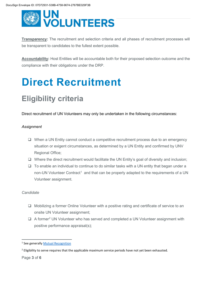

**Transparency:** The recruitment and selection criteria and all phases of recruitment processes will be transparent to candidates to the fullest extent possible.

**Accountability:** Host Entities will be accountable both for their proposed selection outcome and the compliance with their obligations under the DRP.

## <span id="page-3-0"></span>**Direct Recruitment**

## <span id="page-3-1"></span>**Eligibility criteria**

Direct recruitment of UN Volunteers may only be undertaken in the following circumstances:

#### *Assignment*

- $\Box$  When a UN Entity cannot conduct a competitive recruitment process due to an emergency situation or exigent circumstances, as determined by a UN Entity and confirmed by UNV Regional Office;
- $\Box$  Where the direct recruitment would facilitate the UN Entity's goal of diversity and inclusion;
- $\Box$  To enable an individual to continue to do similar tasks with a UN entity that began under a non-UN Volunteer Contract<sup>[1](#page-3-2)</sup> and that can be properly adapted to the requirements of a UN Volunteer assignment.

#### *Candidate*

- Mobilizing a former Online Volunteer with a positive rating and certificate of service to an onsite UN Volunteer assignment;
- $\Box$  A former<sup>[2](#page-3-3)</sup> UN Volunteer who has served and completed a UN Volunteer assignment with positive performance appraisal(s);

Page **3** of **6**

<span id="page-3-2"></span><sup>&</sup>lt;sup>1</sup> See generally [Mutual Recognition](https://www.unsystem.org/content/mutual-recognition#:%7E:text=Mutual%20Recognition%20In%20a%20joint%20effort%20to%20advance,in%202018%20to%20develop%20a%20Mutual%20Recognition%20Statement)

<span id="page-3-3"></span><sup>&</sup>lt;sup>2</sup> Eligibility to serve requires that the applicable maximum service periods have not yet been exhausted.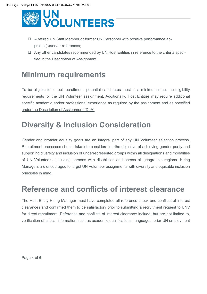

- A retired UN Staff Member or former UN Personnel with positive performance appraisal(s)and/or references;
- Any other candidates recommended by UN Host Entities in reference to the criteria specified in the Description of Assignment.

### <span id="page-4-0"></span>**Minimum requirements**

To be eligible for direct recruitment, potential candidates must at a minimum meet the eligibility requirements for the UN Volunteer assignment. Additionally, Host Entities may require additional specific academic and/or professional experience as required by the assignment and as specified under the Description of Assignment (DoA).

### <span id="page-4-1"></span>**Diversity & Inclusion Consideration**

Gender and broader equality goals are an integral part of any UN Volunteer selection process. Recruitment processes should take into consideration the objective of achieving gender parity and supporting diversity and inclusion of underrepresented groups within all designations and modalities of UN Volunteers, including persons with disabilities and across all geographic regions. Hiring Managers are encouraged to target UN Volunteer assignments with diversity and equitable inclusion principles in mind.

### <span id="page-4-2"></span>**Reference and conflicts of interest clearance**

The Host Entity Hiring Manager must have completed all reference check and conflicts of interest clearances and confirmed them to be satisfactory prior to submitting a recruitment request to UNV for direct recruitment. Reference and conflicts of interest clearance include, but are not limited to, verification of critical information such as academic qualifications, languages, prior UN employment